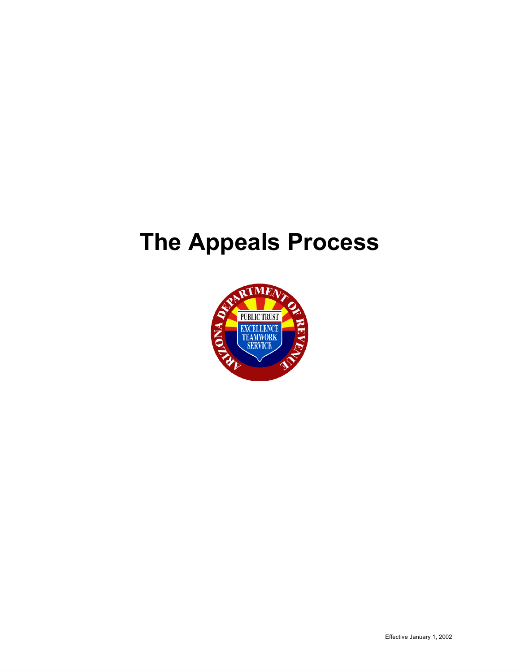# **The Appeals Process**

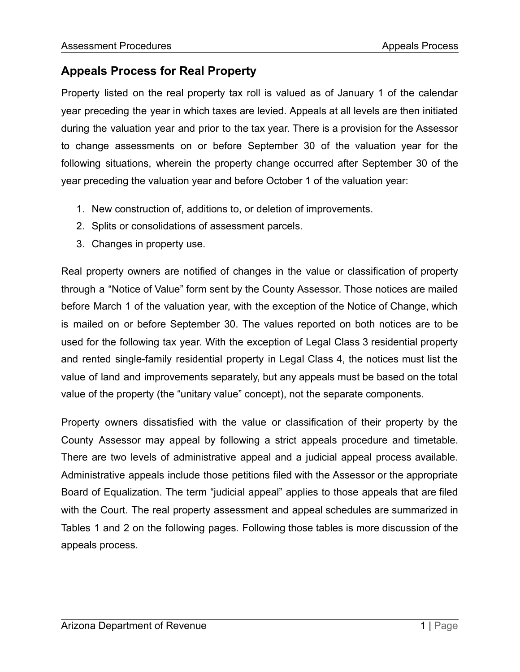# **Appeals Process for Real Property**

Property listed on the real property tax roll is valued as of January 1 of the calendar year preceding the year in which taxes are levied. Appeals at all levels are then initiated during the valuation year and prior to the tax year. There is a provision for the Assessor to change assessments on or before September 30 of the valuation year for the following situations, wherein the property change occurred after September 30 of the year preceding the valuation year and before October 1 of the valuation year:

- 1. New construction of, additions to, or deletion of improvements.
- 2. Splits or consolidations of assessment parcels.
- 3. Changes in property use.

Real property owners are notified of changes in the value or classification of property through a "Notice of Value" form sent by the County Assessor. Those notices are mailed before March 1 of the valuation year, with the exception of the Notice of Change, which is mailed on or before September 30. The values reported on both notices are to be used for the following tax year. With the exception of Legal Class 3 residential property and rented single-family residential property in Legal Class 4, the notices must list the value of land and improvements separately, but any appeals must be based on the total value of the property (the "unitary value" concept), not the separate components.

Property owners dissatisfied with the value or classification of their property by the County Assessor may appeal by following a strict appeals procedure and timetable. There are two levels of administrative appeal and a judicial appeal process available. Administrative appeals include those petitions filed with the Assessor or the appropriate Board of Equalization. The term "judicial appeal" applies to those appeals that are filed with the Court. The real property assessment and appeal schedules are summarized in Tables 1 and 2 on the following pages. Following those tables is more discussion of the appeals process.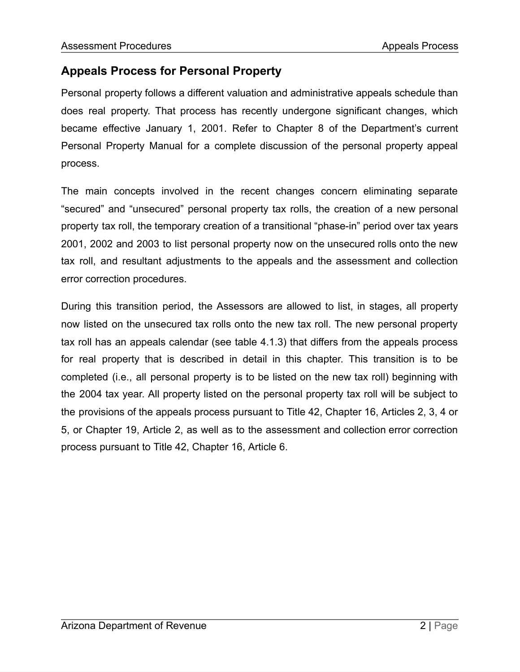# **Appeals Process for Personal Property**

Personal property follows a different valuation and administrative appeals schedule than does real property. That process has recently undergone significant changes, which became effective January 1, 2001. Refer to Chapter 8 of the Department's current Personal Property Manual for a complete discussion of the personal property appeal process.

The main concepts involved in the recent changes concern eliminating separate "secured" and "unsecured" personal property tax rolls, the creation of a new personal property tax roll, the temporary creation of a transitional "phase-in" period over tax years 2001, 2002 and 2003 to list personal property now on the unsecured rolls onto the new tax roll, and resultant adjustments to the appeals and the assessment and collection error correction procedures.

During this transition period, the Assessors are allowed to list, in stages, all property now listed on the unsecured tax rolls onto the new tax roll. The new personal property tax roll has an appeals calendar (see table 4.1.3) that differs from the appeals process for real property that is described in detail in this chapter. This transition is to be completed (i.e., all personal property is to be listed on the new tax roll) beginning with the 2004 tax year. All property listed on the personal property tax roll will be subject to the provisions of the appeals process pursuant to Title 42, Chapter 16, Articles 2, 3, 4 or 5, or Chapter 19, Article 2, as well as to the assessment and collection error correction process pursuant to Title 42, Chapter 16, Article 6.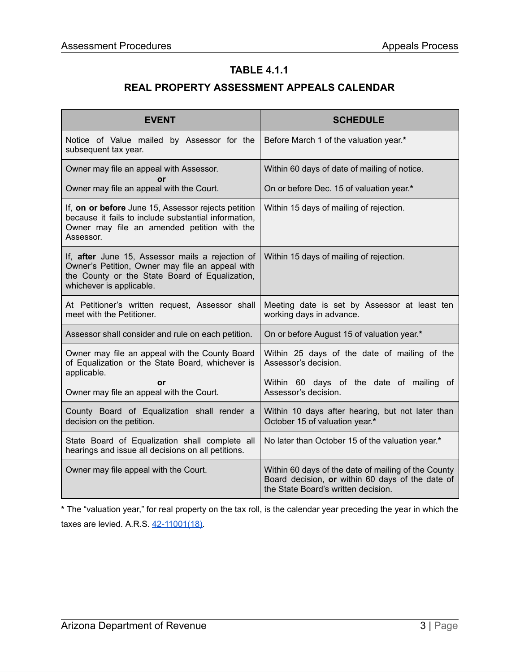#### **TABLE 4.1.1**

# **REAL PROPERTY ASSESSMENT APPEALS CALENDAR**

| <b>EVENT</b>                                                                                                                                                                      | <b>SCHEDULE</b>                                                                                                                                |
|-----------------------------------------------------------------------------------------------------------------------------------------------------------------------------------|------------------------------------------------------------------------------------------------------------------------------------------------|
| Notice of Value mailed by Assessor for the<br>subsequent tax year.                                                                                                                | Before March 1 of the valuation year.*                                                                                                         |
| Owner may file an appeal with Assessor.                                                                                                                                           | Within 60 days of date of mailing of notice.                                                                                                   |
| Owner may file an appeal with the Court.                                                                                                                                          | On or before Dec. 15 of valuation year.*                                                                                                       |
| If, on or before June 15, Assessor rejects petition<br>because it fails to include substantial information,<br>Owner may file an amended petition with the<br>Assessor.           | Within 15 days of mailing of rejection.                                                                                                        |
| If, after June 15, Assessor mails a rejection of<br>Owner's Petition, Owner may file an appeal with<br>the County or the State Board of Equalization,<br>whichever is applicable. | Within 15 days of mailing of rejection.                                                                                                        |
| At Petitioner's written request, Assessor shall<br>meet with the Petitioner.                                                                                                      | Meeting date is set by Assessor at least ten<br>working days in advance.                                                                       |
| Assessor shall consider and rule on each petition.                                                                                                                                | On or before August 15 of valuation year.*                                                                                                     |
| Owner may file an appeal with the County Board<br>of Equalization or the State Board, whichever is<br>applicable.                                                                 | Within 25 days of the date of mailing of the<br>Assessor's decision.                                                                           |
| or<br>Owner may file an appeal with the Court.                                                                                                                                    | Within 60 days of the date of mailing of<br>Assessor's decision.                                                                               |
| County Board of Equalization shall render a<br>decision on the petition.                                                                                                          | Within 10 days after hearing, but not later than<br>October 15 of valuation year.*                                                             |
| State Board of Equalization shall complete all<br>hearings and issue all decisions on all petitions.                                                                              | No later than October 15 of the valuation year.*                                                                                               |
| Owner may file appeal with the Court.                                                                                                                                             | Within 60 days of the date of mailing of the County<br>Board decision, or within 60 days of the date of<br>the State Board's written decision. |

**\*** The "valuation year," for real property on the tax roll, is the calendar year preceding the year in which the taxes are levied. A.R.S. [42-11001\(18\)](https://www.azleg.gov/viewDocument/?docName=http://www.azleg.gov/ars/42/11001.htm).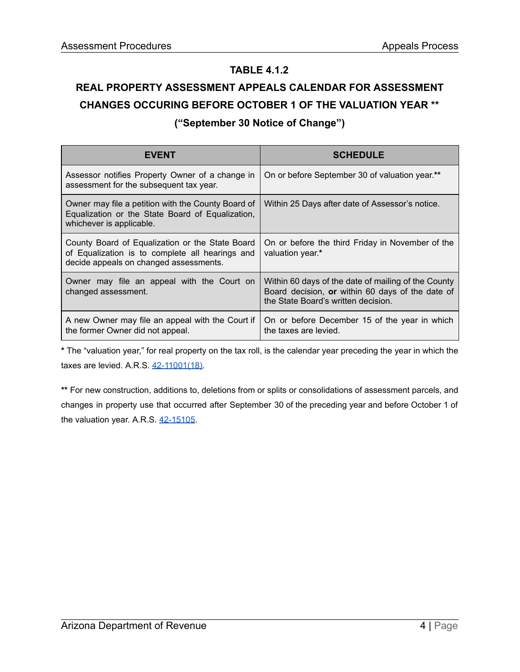#### **TABLE 4.1.2**

# **REAL PROPERTY ASSESSMENT APPEALS CALENDAR FOR ASSESSMENT CHANGES OCCURING BEFORE OCTOBER 1 OF THE VALUATION YEAR \*\* ("September 30 Notice of Change")**

| <b>EVENT</b>                                                                                                                                 | <b>SCHEDULE</b>                                                                                                                                |
|----------------------------------------------------------------------------------------------------------------------------------------------|------------------------------------------------------------------------------------------------------------------------------------------------|
| Assessor notifies Property Owner of a change in<br>assessment for the subsequent tax year.                                                   | On or before September 30 of valuation year.**                                                                                                 |
| Owner may file a petition with the County Board of<br>Equalization or the State Board of Equalization,<br>whichever is applicable.           | Within 25 Days after date of Assessor's notice.                                                                                                |
| County Board of Equalization or the State Board<br>of Equalization is to complete all hearings and<br>decide appeals on changed assessments. | On or before the third Friday in November of the<br>valuation year.*                                                                           |
| Owner may file an appeal with the Court on<br>changed assessment.                                                                            | Within 60 days of the date of mailing of the County<br>Board decision, or within 60 days of the date of<br>the State Board's written decision. |
| A new Owner may file an appeal with the Court if<br>the former Owner did not appeal.                                                         | On or before December 15 of the year in which<br>the taxes are levied.                                                                         |

**\*** The "valuation year," for real property on the tax roll, is the calendar year preceding the year in which the taxes are levied. A.R.S. [42-11001\(18\)](https://www.azleg.gov/viewDocument/?docName=http://www.azleg.gov/ars/42/11001.htm).

**\*\*** For new construction, additions to, deletions from or splits or consolidations of assessment parcels, and changes in property use that occurred after September 30 of the preceding year and before October 1 of the valuation year. A.R.S. [42-15105.](https://www.azleg.gov/viewDocument/?docName=http://www.azleg.gov/ars/42/15105.htm)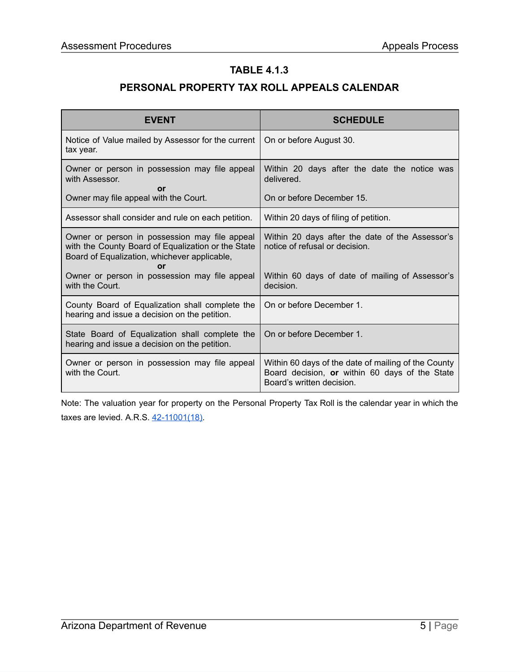#### **TABLE 4.1.3**

# **PERSONAL PROPERTY TAX ROLL APPEALS CALENDAR**

| <b>EVENT</b>                                                                                                                                              | <b>SCHEDULE</b>                                                                                                                    |
|-----------------------------------------------------------------------------------------------------------------------------------------------------------|------------------------------------------------------------------------------------------------------------------------------------|
| Notice of Value mailed by Assessor for the current<br>tax year.                                                                                           | On or before August 30.                                                                                                            |
| Owner or person in possession may file appeal<br>with Assessor.<br>or                                                                                     | Within 20 days after the date the notice was<br>delivered.                                                                         |
| Owner may file appeal with the Court.                                                                                                                     | On or before December 15.                                                                                                          |
| Assessor shall consider and rule on each petition.                                                                                                        | Within 20 days of filing of petition.                                                                                              |
| Owner or person in possession may file appeal<br>with the County Board of Equalization or the State<br>Board of Equalization, whichever applicable,<br>or | Within 20 days after the date of the Assessor's<br>notice of refusal or decision.                                                  |
| Owner or person in possession may file appeal<br>with the Court.                                                                                          | Within 60 days of date of mailing of Assessor's<br>decision.                                                                       |
| County Board of Equalization shall complete the<br>hearing and issue a decision on the petition.                                                          | On or before December 1.                                                                                                           |
| State Board of Equalization shall complete the<br>hearing and issue a decision on the petition.                                                           | On or before December 1.                                                                                                           |
| Owner or person in possession may file appeal<br>with the Court.                                                                                          | Within 60 days of the date of mailing of the County<br>Board decision, or within 60 days of the State<br>Board's written decision. |

Note: The valuation year for property on the Personal Property Tax Roll is the calendar year in which the taxes are levied. A.R.S. [42-11001\(18\)](https://www.azleg.gov/viewDocument/?docName=http://www.azleg.gov/ars/42/11001.htm).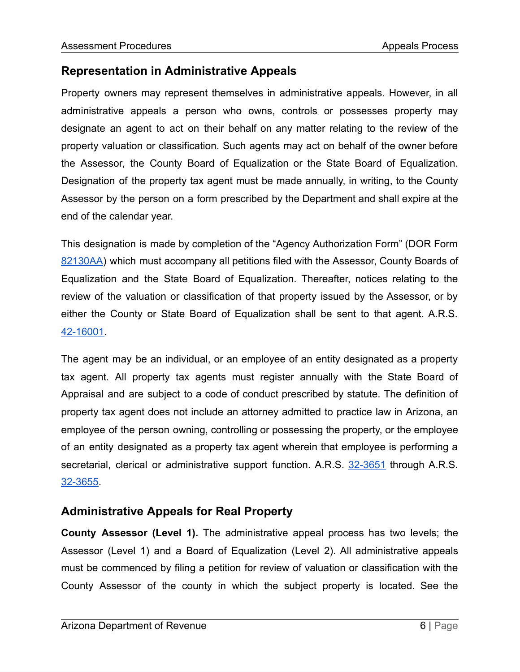# **Representation in Administrative Appeals**

Property owners may represent themselves in administrative appeals. However, in all administrative appeals a person who owns, controls or possesses property may designate an agent to act on their behalf on any matter relating to the review of the property valuation or classification. Such agents may act on behalf of the owner before the Assessor, the County Board of Equalization or the State Board of Equalization. Designation of the property tax agent must be made annually, in writing, to the County Assessor by the person on a form prescribed by the Department and shall expire at the end of the calendar year.

This designation is made by completion of the "Agency Authorization Form" (DOR Form [82130AA\)](https://azdor.gov/forms/property-tax-forms/agency-authorization-form) which must accompany all petitions filed with the Assessor, County Boards of Equalization and the State Board of Equalization. Thereafter, notices relating to the review of the valuation or classification of that property issued by the Assessor, or by either the County or State Board of Equalization shall be sent to that agent. A.R.S. [42-16001.](https://www.azleg.gov/viewDocument/?docName=http://www.azleg.gov/ars/42/16001.htm)

The agent may be an individual, or an employee of an entity designated as a property tax agent. All property tax agents must register annually with the State Board of Appraisal and are subject to a code of conduct prescribed by statute. The definition of property tax agent does not include an attorney admitted to practice law in Arizona, an employee of the person owning, controlling or possessing the property, or the employee of an entity designated as a property tax agent wherein that employee is performing a secretarial, clerical or administrative support function. A.R.S. [32-3651](https://www.azleg.gov/viewDocument/?docName=http://www.azleg.gov/ars/32/03651.htm) through A.R.S. [32-3655](https://www.azleg.gov/viewDocument/?docName=http://www.azleg.gov/ars/32/03655.htm).

# **Administrative Appeals for Real Property**

**County Assessor (Level 1).** The administrative appeal process has two levels; the Assessor (Level 1) and a Board of Equalization (Level 2). All administrative appeals must be commenced by filing a petition for review of valuation or classification with the County Assessor of the county in which the subject property is located. See the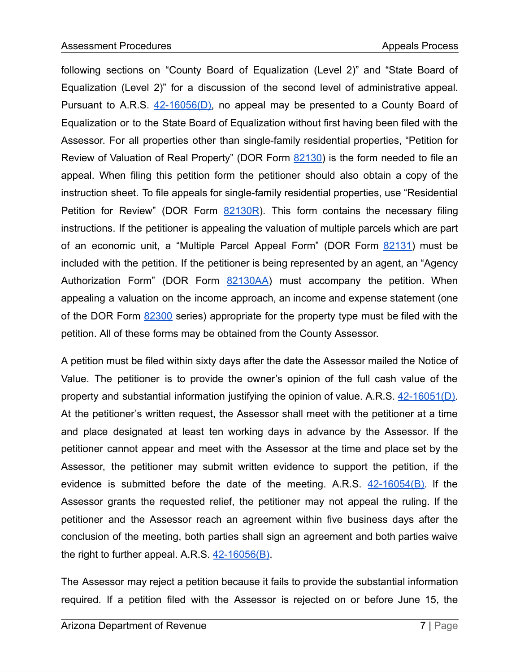following sections on "County Board of Equalization (Level 2)" and "State Board of Equalization (Level 2)" for a discussion of the second level of administrative appeal. Pursuant to A.R.S.  $42-16056(D)$ , no appeal may be presented to a County Board of Equalization or to the State Board of Equalization without first having been filed with the Assessor. For all properties other than single-family residential properties, "Petition for Review of Valuation of Real Property" (DOR Form [82130\)](https://azdor.gov/forms/property-tax-forms/petition-review-real-property-valuation) is the form needed to file an appeal. When filing this petition form the petitioner should also obtain a copy of the instruction sheet. To file appeals for single-family residential properties, use "Residential Petition for Review" (DOR Form [82130R](https://azdor.gov/forms/property-tax-forms/residential-petition-review-valuation)). This form contains the necessary filing instructions. If the petitioner is appealing the valuation of multiple parcels which are part of an economic unit, a "Multiple Parcel Appeal Form" (DOR Form [82131](https://azdor.gov/forms/property-forms/multiple-parcel-appeal-form)) must be included with the petition. If the petitioner is being represented by an agent, an "Agency Authorization Form" (DOR Form [82130AA](https://azdor.gov/forms/property-tax-forms/agency-authorization-form)) must accompany the petition. When appealing a valuation on the income approach, an income and expense statement (one of the DOR Form [82300](https://azdor.gov/forms/property-forms/income-and-expense-statement) series) appropriate for the property type must be filed with the petition. All of these forms may be obtained from the County Assessor.

A petition must be filed within sixty days after the date the Assessor mailed the Notice of Value. The petitioner is to provide the owner's opinion of the full cash value of the property and substantial information justifying the opinion of value. A.R.S. [42-16051\(D\)](https://www.azleg.gov/viewDocument/?docName=http://www.azleg.gov/ars/42/16051.htm). At the petitioner's written request, the Assessor shall meet with the petitioner at a time and place designated at least ten working days in advance by the Assessor. If the petitioner cannot appear and meet with the Assessor at the time and place set by the Assessor, the petitioner may submit written evidence to support the petition, if the evidence is submitted before the date of the meeting. A.R.S.  $42-16054(B)$ . If the Assessor grants the requested relief, the petitioner may not appeal the ruling. If the petitioner and the Assessor reach an agreement within five business days after the conclusion of the meeting, both parties shall sign an agreement and both parties waive the right to further appeal. A.R.S.  $42-16056(B)$ .

The Assessor may reject a petition because it fails to provide the substantial information required. If a petition filed with the Assessor is rejected on or before June 15, the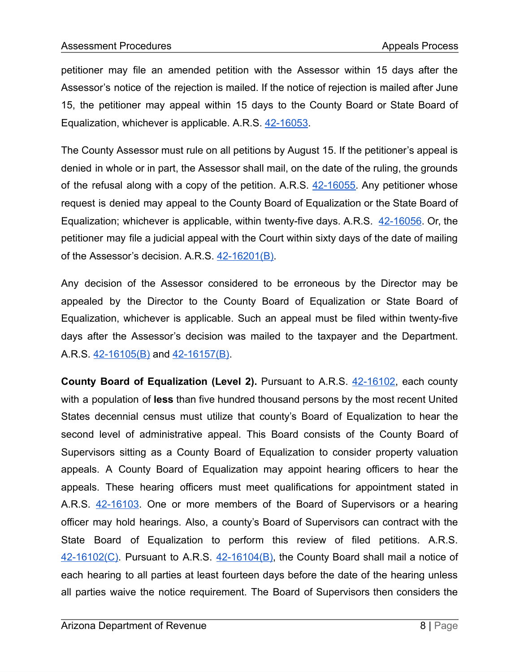petitioner may file an amended petition with the Assessor within 15 days after the Assessor's notice of the rejection is mailed. If the notice of rejection is mailed after June 15, the petitioner may appeal within 15 days to the County Board or State Board of Equalization, whichever is applicable. A.R.S. [42-16053.](https://www.azleg.gov/viewDocument/?docName=http://www.azleg.gov/ars/42/16053.htm)

The County Assessor must rule on all petitions by August 15. If the petitioner's appeal is denied in whole or in part, the Assessor shall mail, on the date of the ruling, the grounds of the refusal along with a copy of the petition. A.R.S.  $42-16055$ . Any petitioner whose request is denied may appeal to the County Board of Equalization or the State Board of Equalization; whichever is applicable, within twenty-five days. A.R.S. [42-16056](https://www.azleg.gov/viewDocument/?docName=http://www.azleg.gov/ars/42/16056.htm). Or, the petitioner may file a judicial appeal with the Court within sixty days of the date of mailing of the Assessor's decision. A.R.S. [42-16201\(B\)](https://www.azleg.gov/viewDocument/?docName=http://www.azleg.gov/ars/42/16201.htm).

Any decision of the Assessor considered to be erroneous by the Director may be appealed by the Director to the County Board of Equalization or State Board of Equalization, whichever is applicable. Such an appeal must be filed within twenty-five days after the Assessor's decision was mailed to the taxpayer and the Department. A.R.S. [42-16105\(B\)](https://www.azleg.gov/viewDocument/?docName=http://www.azleg.gov/ars/42/16105.htm) and [42-16157\(B\)](https://www.azleg.gov/viewDocument/?docName=http://www.azleg.gov/ars/42/16157.htm).

**County Board of Equalization (Level 2).** Pursuant to A.R.S. [42-16102,](https://www.azleg.gov/viewDocument/?docName=http://www.azleg.gov/ars/42/16102.htm) each county with a population of **less** than five hundred thousand persons by the most recent United States decennial census must utilize that county's Board of Equalization to hear the second level of administrative appeal. This Board consists of the County Board of Supervisors sitting as a County Board of Equalization to consider property valuation appeals. A County Board of Equalization may appoint hearing officers to hear the appeals. These hearing officers must meet qualifications for appointment stated in A.R.S. [42-16103.](https://www.azleg.gov/viewDocument/?docName=http://www.azleg.gov/ars/42/16103.htm) One or more members of the Board of Supervisors or a hearing officer may hold hearings. Also, a county's Board of Supervisors can contract with the State Board of Equalization to perform this review of filed petitions. A.R.S. [42-16102\(C\).](https://www.azleg.gov/viewDocument/?docName=http://www.azleg.gov/ars/42/16102.htm) Pursuant to A.R.S. [42-16104\(B\),](https://www.azleg.gov/viewDocument/?docName=http://www.azleg.gov/ars/42/16104.htm) the County Board shall mail a notice of each hearing to all parties at least fourteen days before the date of the hearing unless all parties waive the notice requirement. The Board of Supervisors then considers the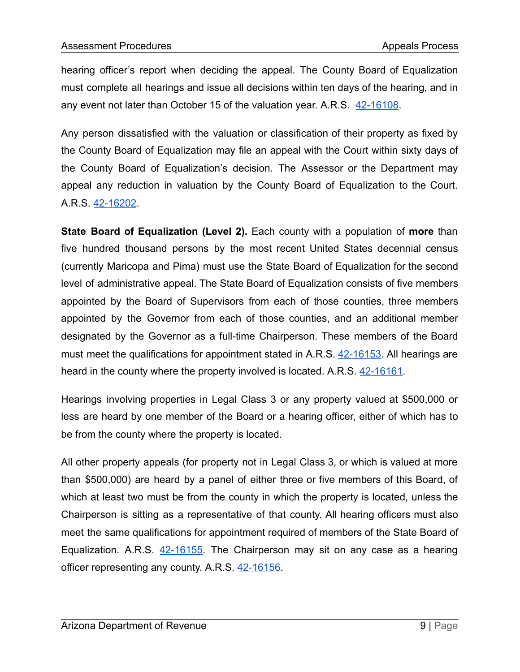hearing officer's report when deciding the appeal. The County Board of Equalization must complete all hearings and issue all decisions within ten days of the hearing, and in any event not later than October 15 of the valuation year. A.R.S. [42-16108.](https://www.azleg.gov/viewDocument/?docName=http://www.azleg.gov/ars/42/16108.htm)

Any person dissatisfied with the valuation or classification of their property as fixed by the County Board of Equalization may file an appeal with the Court within sixty days of the County Board of Equalization's decision. The Assessor or the Department may appeal any reduction in valuation by the County Board of Equalization to the Court. A.R.S. [42-16202](https://www.azleg.gov/viewDocument/?docName=http://www.azleg.gov/ars/42/16202.htm).

**State Board of Equalization (Level 2).** Each county with a population of **more** than five hundred thousand persons by the most recent United States decennial census (currently Maricopa and Pima) must use the State Board of Equalization for the second level of administrative appeal. The State Board of Equalization consists of five members appointed by the Board of Supervisors from each of those counties, three members appointed by the Governor from each of those counties, and an additional member designated by the Governor as a full-time Chairperson. These members of the Board must meet the qualifications for appointment stated in A.R.S. [42-16153.](https://www.azleg.gov/viewDocument/?docName=http://www.azleg.gov/ars/42/16153.htm) All hearings are heard in the county where the property involved is located. A.R.S. [42-16161](https://www.azleg.gov/viewDocument/?docName=http://www.azleg.gov/ars/42/16161.htm).

Hearings involving properties in Legal Class 3 or any property valued at \$500,000 or less are heard by one member of the Board or a hearing officer, either of which has to be from the county where the property is located.

All other property appeals (for property not in Legal Class 3, or which is valued at more than \$500,000) are heard by a panel of either three or five members of this Board, of which at least two must be from the county in which the property is located, unless the Chairperson is sitting as a representative of that county. All hearing officers must also meet the same qualifications for appointment required of members of the State Board of Equalization. A.R.S. [42-16155](https://www.azleg.gov/viewDocument/?docName=http://www.azleg.gov/ars/42/16155.htm). The Chairperson may sit on any case as a hearing officer representing any county. A.R.S. [42-16156](https://www.azleg.gov/viewDocument/?docName=http://www.azleg.gov/ars/42/16156.htm).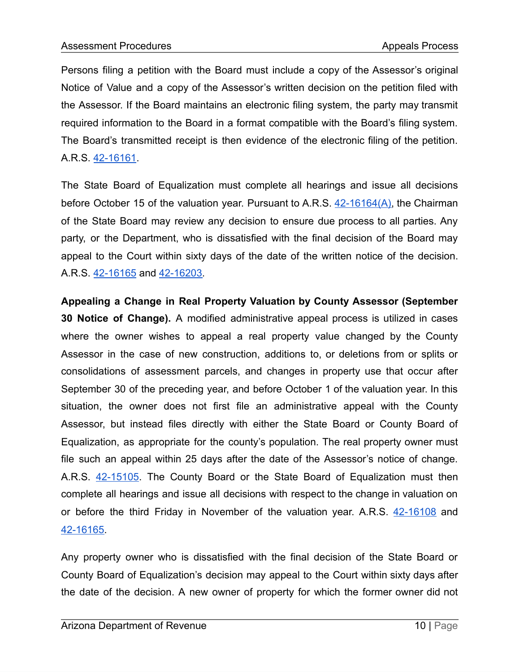Persons filing a petition with the Board must include a copy of the Assessor's original Notice of Value and a copy of the Assessor's written decision on the petition filed with the Assessor. If the Board maintains an electronic filing system, the party may transmit required information to the Board in a format compatible with the Board's filing system. The Board's transmitted receipt is then evidence of the electronic filing of the petition. A.R.S. [42-16161](https://www.azleg.gov/viewDocument/?docName=http://www.azleg.gov/ars/42/16161.htm).

The State Board of Equalization must complete all hearings and issue all decisions before October 15 of the valuation year. Pursuant to A.R.S. [42-16164\(A\)](https://www.azleg.gov/viewDocument/?docName=http://www.azleg.gov/ars/42/16164.htm), the Chairman of the State Board may review any decision to ensure due process to all parties. Any party, or the Department, who is dissatisfied with the final decision of the Board may appeal to the Court within sixty days of the date of the written notice of the decision. A.R.S. [42-16165](https://www.azleg.gov/viewDocument/?docName=http://www.azleg.gov/ars/42/16165.htm) and [42-16203](https://www.azleg.gov/viewDocument/?docName=http://www.azleg.gov/ars/42/16203.htm).

**Appealing a Change in Real Property Valuation by County Assessor (September 30 Notice of Change).** A modified administrative appeal process is utilized in cases where the owner wishes to appeal a real property value changed by the County Assessor in the case of new construction, additions to, or deletions from or splits or consolidations of assessment parcels, and changes in property use that occur after September 30 of the preceding year, and before October 1 of the valuation year. In this situation, the owner does not first file an administrative appeal with the County Assessor, but instead files directly with either the State Board or County Board of Equalization, as appropriate for the county's population. The real property owner must file such an appeal within 25 days after the date of the Assessor's notice of change. A.R.S. [42-15105.](https://www.azleg.gov/viewDocument/?docName=http://www.azleg.gov/ars/42/15105.htm) The County Board or the State Board of Equalization must then complete all hearings and issue all decisions with respect to the change in valuation on or before the third Friday in November of the valuation year. A.R.S. [42-16108](https://www.azleg.gov/viewDocument/?docName=http://www.azleg.gov/ars/42/16108.htm) and [42-16165.](https://www.azleg.gov/viewDocument/?docName=http://www.azleg.gov/ars/42/16165.htm)

Any property owner who is dissatisfied with the final decision of the State Board or County Board of Equalization's decision may appeal to the Court within sixty days after the date of the decision. A new owner of property for which the former owner did not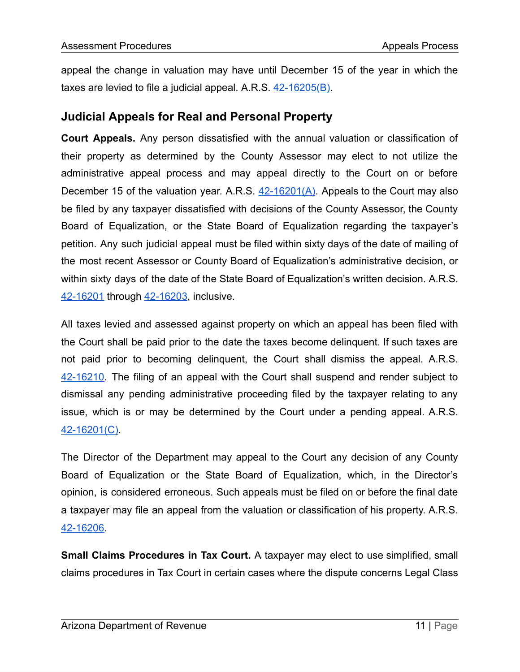appeal the change in valuation may have until December 15 of the year in which the taxes are levied to file a judicial appeal. A.R.S.  $42-16205(B)$ .

#### **Judicial Appeals for Real and Personal Property**

**Court Appeals.** Any person dissatisfied with the annual valuation or classification of their property as determined by the County Assessor may elect to not utilize the administrative appeal process and may appeal directly to the Court on or before December 15 of the valuation year. A.R.S.  $42-16201(A)$ . Appeals to the Court may also be filed by any taxpayer dissatisfied with decisions of the County Assessor, the County Board of Equalization, or the State Board of Equalization regarding the taxpayer's petition. Any such judicial appeal must be filed within sixty days of the date of mailing of the most recent Assessor or County Board of Equalization's administrative decision, or within sixty days of the date of the State Board of Equalization's written decision. A.R.S. [42-16201](https://www.azleg.gov/viewDocument/?docName=http://www.azleg.gov/ars/42/16201.htm) through [42-16203](https://www.azleg.gov/viewDocument/?docName=http://www.azleg.gov/ars/42/16203.htm), inclusive.

All taxes levied and assessed against property on which an appeal has been filed with the Court shall be paid prior to the date the taxes become delinquent. If such taxes are not paid prior to becoming delinquent, the Court shall dismiss the appeal. A.R.S. [42-16210.](https://www.azleg.gov/viewDocument/?docName=http://www.azleg.gov/ars/42/16210.htm) The filing of an appeal with the Court shall suspend and render subject to dismissal any pending administrative proceeding filed by the taxpayer relating to any issue, which is or may be determined by the Court under a pending appeal. A.R.S. [42-16201\(C\).](https://www.azleg.gov/viewDocument/?docName=http://www.azleg.gov/ars/42/16201.htm)

The Director of the Department may appeal to the Court any decision of any County Board of Equalization or the State Board of Equalization, which, in the Director's opinion, is considered erroneous. Such appeals must be filed on or before the final date a taxpayer may file an appeal from the valuation or classification of his property. A.R.S. [42-16206.](https://www.azleg.gov/viewDocument/?docName=http://www.azleg.gov/ars/42/16206.htm)

**Small Claims Procedures in Tax Court.** A taxpayer may elect to use simplified, small claims procedures in Tax Court in certain cases where the dispute concerns Legal Class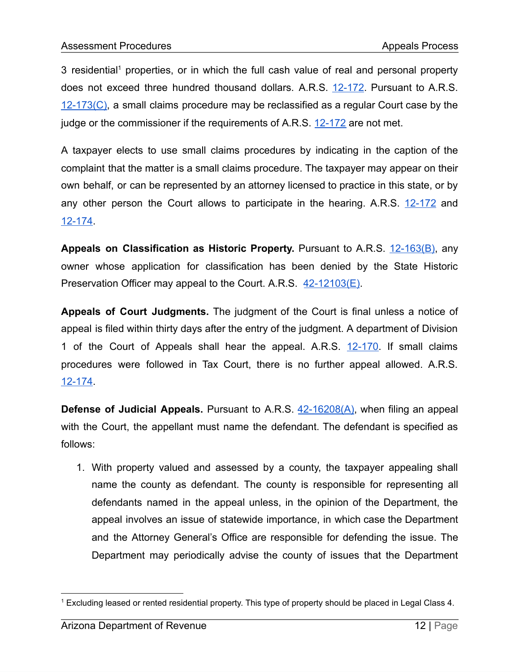3 residential<sup>1</sup> properties, or in which the full cash value of real and personal property does not exceed three hundred thousand dollars. A.R.S. [12-172.](https://www.azleg.gov/viewDocument/?docName=http://www.azleg.gov/ars/12/00172.htm) Pursuant to A.R.S.  $12-173(C)$ , a small claims procedure may be reclassified as a regular Court case by the judge or the commissioner if the requirements of A.R.S. [12-172](https://www.azleg.gov/viewDocument/?docName=http://www.azleg.gov/ars/12/00172.htm) are not met.

A taxpayer elects to use small claims procedures by indicating in the caption of the complaint that the matter is a small claims procedure. The taxpayer may appear on their own behalf, or can be represented by an attorney licensed to practice in this state, or by any other person the Court allows to participate in the hearing. A.R.S. [12-172](https://www.azleg.gov/viewDocument/?docName=http://www.azleg.gov/ars/12/00172.htm) and [12-174.](https://www.azleg.gov/viewDocument/?docName=http://www.azleg.gov/ars/12/00174.htm)

**Appeals on Classification as Historic Property.** Pursuant to A.R.S. [12-163\(B\)](https://www.azleg.gov/viewDocument/?docName=http://www.azleg.gov/ars/12/00163.htm), any owner whose application for classification has been denied by the State Historic Preservation Officer may appeal to the Court. A.R.S. [42-12103\(E\).](https://www.azleg.gov/viewDocument/?docName=http://www.azleg.gov/ars/42/12103.htm)

**Appeals of Court Judgments.** The judgment of the Court is final unless a notice of appeal is filed within thirty days after the entry of the judgment. A department of Division 1 of the Court of Appeals shall hear the appeal. A.R.S. [12-170.](https://www.azleg.gov/viewDocument/?docName=http://www.azleg.gov/ars/12/00170.htm) If small claims procedures were followed in Tax Court, there is no further appeal allowed. A.R.S. [12-174.](https://www.azleg.gov/viewDocument/?docName=http://www.azleg.gov/ars/12/00174.htm)

**Defense of Judicial Appeals.** Pursuant to A.R.S. [42-16208\(A\)](https://www.azleg.gov/viewDocument/?docName=http://www.azleg.gov/ars/42/16208.htm), when filing an appeal with the Court, the appellant must name the defendant. The defendant is specified as follows:

1. With property valued and assessed by a county, the taxpayer appealing shall name the county as defendant. The county is responsible for representing all defendants named in the appeal unless, in the opinion of the Department, the appeal involves an issue of statewide importance, in which case the Department and the Attorney General's Office are responsible for defending the issue. The Department may periodically advise the county of issues that the Department

<sup>1</sup> Excluding leased or rented residential property. This type of property should be placed in Legal Class 4.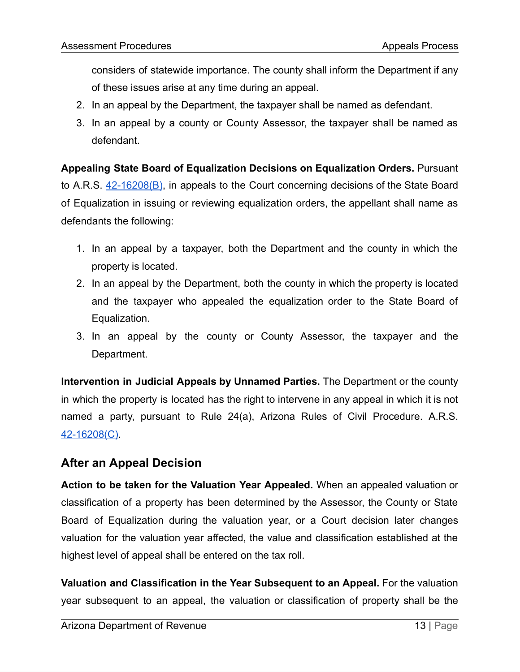considers of statewide importance. The county shall inform the Department if any of these issues arise at any time during an appeal.

- 2. In an appeal by the Department, the taxpayer shall be named as defendant.
- 3. In an appeal by a county or County Assessor, the taxpayer shall be named as defendant.

**Appealing State Board of Equalization Decisions on Equalization Orders.** Pursuant to A.R.S. [42-16208\(B\)](https://www.azleg.gov/viewDocument/?docName=http://www.azleg.gov/ars/42/16208.htm), in appeals to the Court concerning decisions of the State Board of Equalization in issuing or reviewing equalization orders, the appellant shall name as defendants the following:

- 1. In an appeal by a taxpayer, both the Department and the county in which the property is located.
- 2. In an appeal by the Department, both the county in which the property is located and the taxpayer who appealed the equalization order to the State Board of Equalization.
- 3. In an appeal by the county or County Assessor, the taxpayer and the Department.

**Intervention in Judicial Appeals by Unnamed Parties.** The Department or the county in which the property is located has the right to intervene in any appeal in which it is not named a party, pursuant to Rule 24(a), Arizona Rules of Civil Procedure. A.R.S. [42-16208\(C\).](https://www.azleg.gov/viewDocument/?docName=http://www.azleg.gov/ars/42/16208.htm)

# **After an Appeal Decision**

**Action to be taken for the Valuation Year Appealed.** When an appealed valuation or classification of a property has been determined by the Assessor, the County or State Board of Equalization during the valuation year, or a Court decision later changes valuation for the valuation year affected, the value and classification established at the highest level of appeal shall be entered on the tax roll.

**Valuation and Classification in the Year Subsequent to an Appeal.** For the valuation year subsequent to an appeal, the valuation or classification of property shall be the